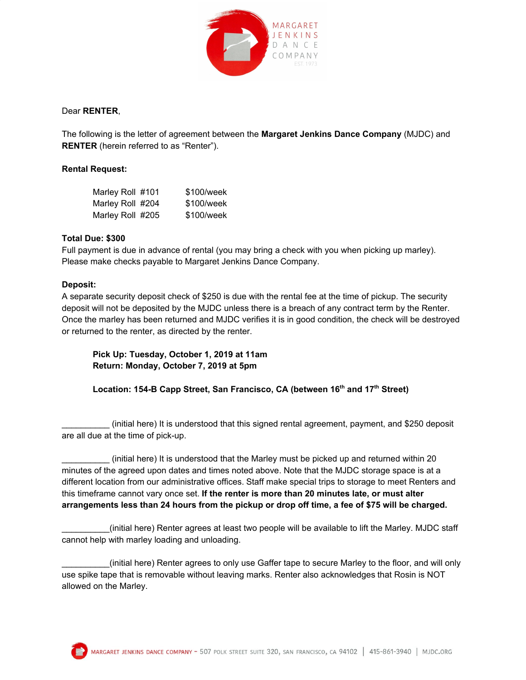

# Dear **RENTER**,

The following is the letter of agreement between the **Margaret Jenkins Dance Company** (MJDC) and **RENTER** (herein referred to as "Renter").

### **Rental Request:**

| Marley Roll #101 | \$100/week |
|------------------|------------|
| Marley Roll #204 | \$100/week |
| Marley Roll #205 | \$100/week |

# **Total Due: \$300**

Full payment is due in advance of rental (you may bring a check with you when picking up marley). Please make checks payable to Margaret Jenkins Dance Company.

### **Deposit:**

A separate security deposit check of \$250 is due with the rental fee at the time of pickup. The security deposit will not be deposited by the MJDC unless there is a breach of any contract term by the Renter. Once the marley has been returned and MJDC verifies it is in good condition, the check will be destroyed or returned to the renter, as directed by the renter.

# **Pick Up: Tuesday, October 1, 2019 at 11am Return: Monday, October 7, 2019 at 5pm**

**Location: 154-B Capp Street, San Francisco, CA (between 16 th and 17 th Street)**

\_\_\_\_\_\_\_\_\_\_ (initial here) It is understood that this signed rental agreement, payment, and \$250 deposit are all due at the time of pick-up.

(initial here) It is understood that the Marley must be picked up and returned within 20 minutes of the agreed upon dates and times noted above. Note that the MJDC storage space is at a different location from our administrative offices. Staff make special trips to storage to meet Renters and this timeframe cannot vary once set. **If the renter is more than 20 minutes late, or must alter** arrangements less than 24 hours from the pickup or drop off time, a fee of \$75 will be charged.

\_\_\_\_\_\_\_\_\_\_(initial here) Renter agrees at least two people will be available to lift the Marley. MJDC staff cannot help with marley loading and unloading.

\_\_\_\_\_\_\_\_\_\_(initial here) Renter agrees to only use Gaffer tape to secure Marley to the floor, and will only use spike tape that is removable without leaving marks. Renter also acknowledges that Rosin is NOT allowed on the Marley.